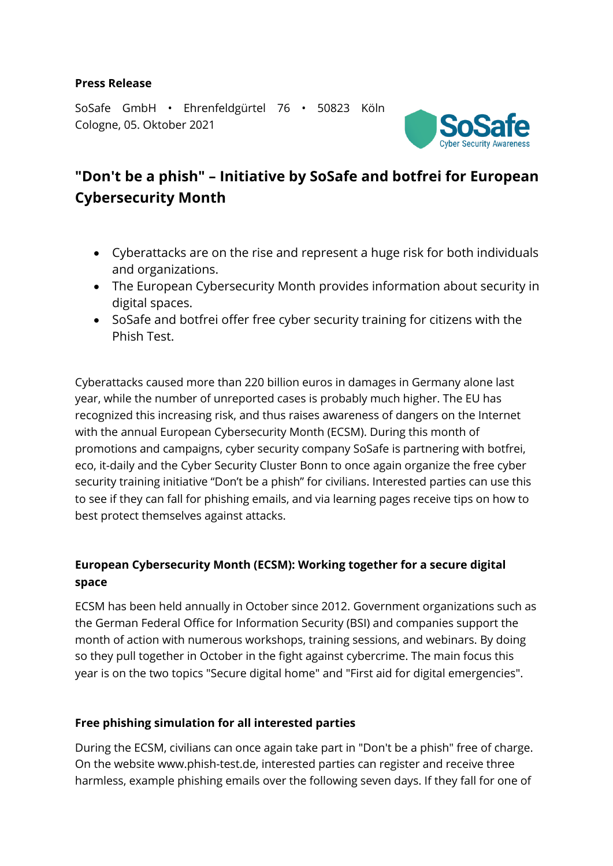### **Press Release**

SoSafe GmbH • Ehrenfeldgürtel 76 • 50823 Köln Cologne, 05. Oktober 2021



# **"Don't be a phish" – Initiative by SoSafe and botfrei for European Cybersecurity Month**

- Cyberattacks are on the rise and represent a huge risk for both individuals and organizations.
- The European Cybersecurity Month provides information about security in digital spaces.
- SoSafe and botfrei offer free cyber security training for citizens with the Phish Test.

Cyberattacks caused more than 220 billion euros in damages in Germany alone last year, while the number of unreported cases is probably much higher. The EU has recognized this increasing risk, and thus raises awareness of dangers on the Internet with the annual European Cybersecurity Month (ECSM). During this month of promotions and campaigns, cyber security company SoSafe is partnering with botfrei, eco, it-daily and the Cyber Security Cluster Bonn to once again organize the free cyber security training initiative "Don't be a phish" for civilians. Interested parties can use this to see if they can fall for phishing emails, and via learning pages receive tips on how to best protect themselves against attacks.

# **European Cybersecurity Month (ECSM): Working together for a secure digital space**

ECSM has been held annually in October since 2012. Government organizations such as the German Federal Office for Information Security (BSI) and companies support the month of action with numerous workshops, training sessions, and webinars. By doing so they pull together in October in the fight against cybercrime. The main focus this year is on the two topics "Secure digital home" and "First aid for digital emergencies".

## **Free phishing simulation for all interested parties**

During the ECSM, civilians can once again take part in "Don't be a phish" free of charge. On the website www.phish-test.de, interested parties can register and receive three harmless, example phishing emails over the following seven days. If they fall for one of